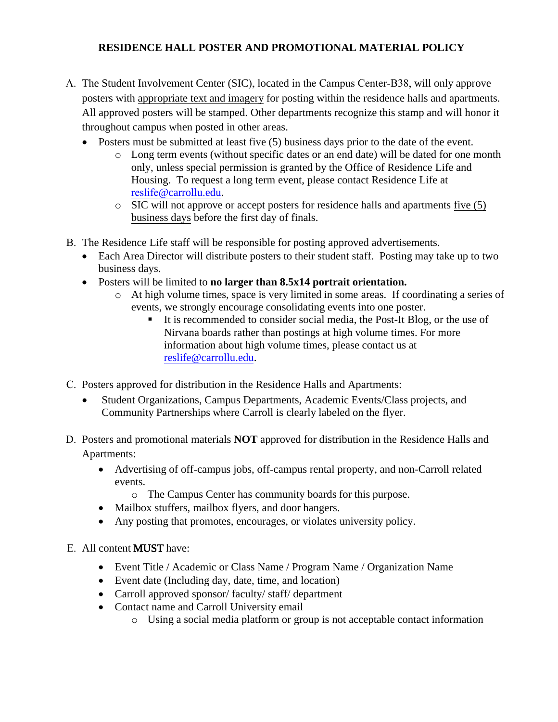## **RESIDENCE HALL POSTER AND PROMOTIONAL MATERIAL POLICY**

- A. The Student Involvement Center (SIC), located in the Campus Center-B38, will only approve posters with appropriate text and imagery for posting within the residence halls and apartments. All approved posters will be stamped. Other departments recognize this stamp and will honor it throughout campus when posted in other areas.
	- Posters must be submitted at least five (5) business days prior to the date of the event.
		- o Long term events (without specific dates or an end date) will be dated for one month only, unless special permission is granted by the Office of Residence Life and Housing. To request a long term event, please contact Residence Life at reslife[@carrollu.edu](mailto:arygh@carrollu.edu).
		- o SIC will not approve or accept posters for residence halls and apartments five (5) business days before the first day of finals.
- B. The Residence Life staff will be responsible for posting approved advertisements.
	- Each Area Director will distribute posters to their student staff. Posting may take up to two business days.
	- Posters will be limited to **no larger than 8.5x14 portrait orientation.**
		- o At high volume times, space is very limited in some areas. If coordinating a series of events, we strongly encourage consolidating events into one poster.
			- It is recommended to consider social media, the Post-It Blog, or the use of Nirvana boards rather than postings at high volume times. For more information about high volume times, please contact us at [reslife@carrollu.edu.](mailto:reslife@carrollu.edu)
- C. Posters approved for distribution in the Residence Halls and Apartments:
	- Student Organizations, Campus Departments, Academic Events/Class projects, and Community Partnerships where Carroll is clearly labeled on the flyer.
- D. Posters and promotional materials **NOT** approved for distribution in the Residence Halls and Apartments:
	- Advertising of off-campus jobs, off-campus rental property, and non-Carroll related events.
		- o The Campus Center has community boards for this purpose.
	- Mailbox stuffers, mailbox flyers, and door hangers.
	- Any posting that promotes, encourages, or violates university policy.

## E. All content MUST have:

- Event Title / Academic or Class Name / Program Name / Organization Name
- Event date (Including day, date, time, and location)
- Carroll approved sponsor/ faculty/ staff/ department
- Contact name and Carroll University email
	- o Using a social media platform or group is not acceptable contact information